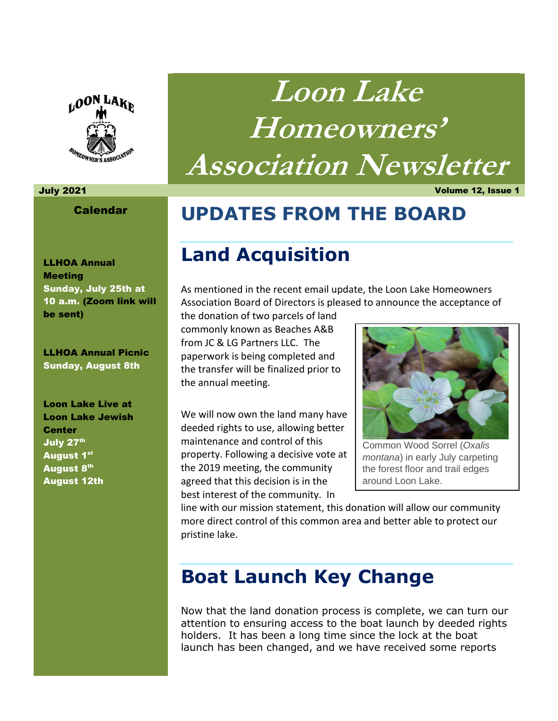

#### Calendar

LLHOA Annual **Meeting** Sunday, July 25th at 10 a.m. (Zoom link will be sent)

LLHOA Annual Picnic Sunday, August 8th

Loon Lake Live at Loon Lake Jewish **Center** July 27<sup>th</sup> August 1st **August 8th** August 12th

**Loon Lake Homeowners' Association Newsletter** 

July 2021 Volume 12, Issue 1

## **UPDATES FROM THE BOARD**

## **Land Acquisition**

As mentioned in the recent email update, the Loon Lake Homeowners Association Board of Directors is pleased to announce the acceptance of

the donation of two parcels of land commonly known as Beaches A&B from JC & LG Partners LLC. The paperwork is being completed and the transfer will be finalized prior to the annual meeting.

We will now own the land many have deeded rights to use, allowing better maintenance and control of this property. Following a decisive vote at the 2019 meeting, the community agreed that this decision is in the best interest of the community. In



Common Wood Sorrel (*Oxalis montana*) in early July carpeting the forest floor and trail edges around Loon Lake.

line with our mission statement, this donation will allow our community more direct control of this common area and better able to protect our pristine lake.

## **Boat Launch Key Change**

Now that the land donation process is complete, we can turn our attention to ensuring access to the boat launch by deeded rights holders. It has been a long time since the lock at the boat launch has been changed, and we have received some reports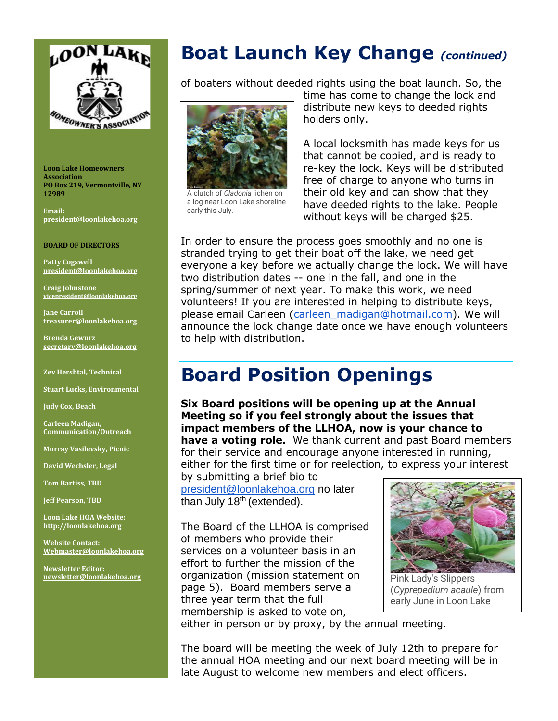

**Loon Lake Homeowners Association PO Box 219, Vermontville, NY 12989** 

**Email: [president@loonlakehoa.org](mailto:president@loonlakehoa.org)**

#### **BOARD OF DIRECTORS**

**Patty Cogswell [president@loonlakehoa.org](mailto:president@loonlakehoa.org)**

**Craig Johnstone [vicepresident@loonlakehoa.org](mailto:vicepresident@loonlakehoa.org)**

**Jane Carroll [treasurer@loonlakehoa.org](mailto:treasurer@loonlakehoa.org)**

**Brenda Gewurz [secretary@loonlakehoa.org](mailto:secretary@loonlakehoa.org)**

**Zev Hershtal, Technical** 

**Stuart Lucks, Environmental**

**Judy Cox, Beach**

**Carleen Madigan, Communication/Outreach**

**Murray Vasilevsky, Picnic**

**David Wechsler, Legal**

**Tom Bartiss, TBD** 

**Jeff Pearson, TBD**

**Loon Lake HOA Website: [http://loonlakehoa.org](http://loonlakehoa.org/)**

**Website Contact: Webmaster@loonlakehoa.org**

**Newsletter Editor: [newsletter@loonlakehoa.org](mailto:newsletter@loonlakehoa.org)**

### **Boat Launch Key Change** *(continued)*

of boaters without deeded rights using the boat launch. So, the



a log near Loon Lake shoreline early this July.

time has come to change the lock and distribute new keys to deeded rights holders only.

A local locksmith has made keys for us that cannot be copied, and is ready to re-key the lock. Keys will be distributed free of charge to anyone who turns in their old key and can show that they have deeded rights to the lake. People without keys will be charged \$25.

In order to ensure the process goes smoothly and no one is stranded trying to get their boat off the lake, we need get everyone a key before we actually change the lock. We will have two distribution dates -- one in the fall, and one in the spring/summer of next year. To make this work, we need volunteers! If you are interested in helping to distribute keys, please email Carleen (carleen madigan@hotmail.com). We will announce the lock change date once we have enough volunteers to help with distribution.

## **Board Position Openings**

**Six Board positions will be opening up at the Annual Meeting so if you feel strongly about the issues that impact members of the LLHOA, now is your chance to have a voting role.** We thank current and past Board members for their service and encourage anyone interested in running, either for the first time or for reelection, to express your interest

by submitting a brief bio to [president@loonlakehoa.org](mailto:president@loonlakehoa.org) no later than July 18<sup>th</sup> (extended).

The Board of the LLHOA is comprised of members who provide their services on a volunteer basis in an effort to further the mission of the organization (mission statement on page 5). Board members serve a three year term that the full membership is asked to vote on,



Pink Lady's Slippers (*Cyprepedium acaule*) from early June in Loon Lake

either in person or by proxy, by the annual meeting. woods.<br>Woods

The board will be meeting the week of July 12th to prepare for the annual HOA meeting and our next board meeting will be in late August to welcome new members and elect officers.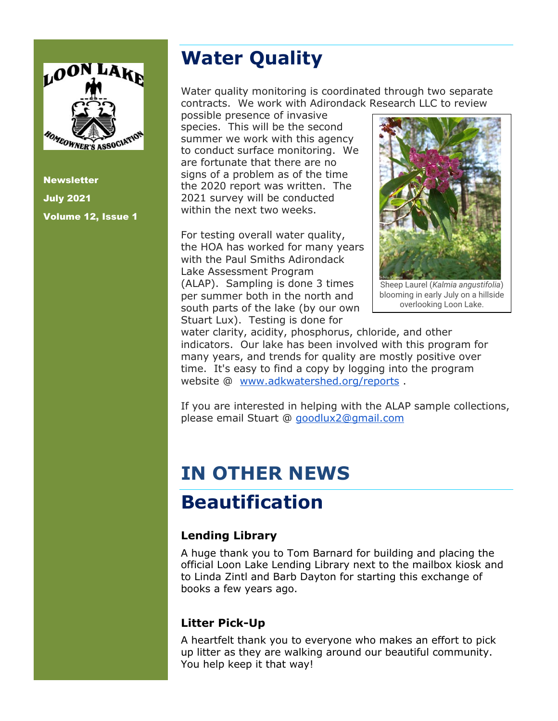

**Newsletter** July 2021 Volume 12, Issue 1

# **Water Quality**

Water quality monitoring is coordinated through two separate contracts. We work with Adirondack Research LLC to review

possible presence of invasive species. This will be the second summer we work with this agency to conduct surface monitoring. We are fortunate that there are no signs of a problem as of the time the 2020 report was written. The 2021 survey will be conducted within the next two weeks.

For testing overall water quality, the HOA has worked for many years with the Paul Smiths Adirondack Lake Assessment Program (ALAP). Sampling is done 3 times per summer both in the north and south parts of the lake (by our own Stuart Lux). Testing is done for



Sheep Laurel (*Kalmia angustifolia*) blooming in early July on a hillside overlooking Loon Lake.

water clarity, acidity, phosphorus, chloride, and other indicators. Our lake has been involved with this program for many years, and trends for quality are mostly positive over time. It's easy to find a copy by logging into the program website @ [www.adkwatershed.org/reports](http://www.adkwatershed.org/reports) .

If you are interested in helping with the ALAP sample collections, please email Stuart @ [goodlux2@gmail.com](mailto:goodlux2@gmail.com)

# **IN OTHER NEWS**

## **Beautification**

#### **Lending Library**

A huge thank you to Tom Barnard for building and placing the official Loon Lake Lending Library next to the mailbox kiosk and to Linda Zintl and Barb Dayton for starting this exchange of books a few years ago.

#### **Litter Pick-Up**

A heartfelt thank you to everyone who makes an effort to pick up litter as they are walking around our beautiful community. You help keep it that way!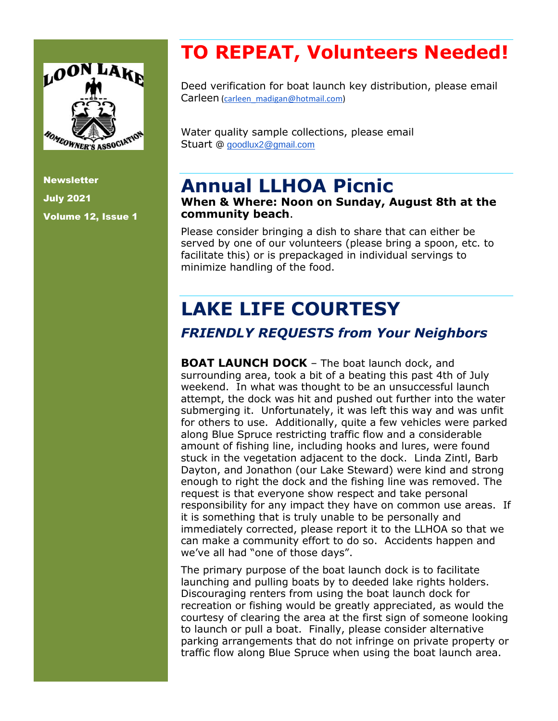

**Newsletter** July 2021 Volume 12, Issue 1

# **TO REPEAT, Volunteers Needed!**

Deed verification for boat launch key distribution, please email Carleen [\(carleen\\_madigan@hotmail.com\)](mailto:carleen_madigan@hotmail.com)

Water quality sample collections, please email Stuart @ [goodlux2@gmail.com](mailto:goodlux2@gmail.com)

## **Annual LLHOA Picnic**

#### **When & Where: Noon on Sunday, August 8th at the community beach**.

Please consider bringing a dish to share that can either be served by one of our volunteers (please bring a spoon, etc. to facilitate this) or is prepackaged in individual servings to minimize handling of the food.

# **LAKE LIFE COURTESY**

### *FRIENDLY REQUESTS from Your Neighbors*

**BOAT LAUNCH DOCK** – The boat launch dock, and surrounding area, took a bit of a beating this past 4th of July weekend. In what was thought to be an unsuccessful launch attempt, the dock was hit and pushed out further into the water submerging it. Unfortunately, it was left this way and was unfit for others to use. Additionally, quite a few vehicles were parked along Blue Spruce restricting traffic flow and a considerable amount of fishing line, including hooks and lures, were found stuck in the vegetation adjacent to the dock. Linda Zintl, Barb Dayton, and Jonathon (our Lake Steward) were kind and strong enough to right the dock and the fishing line was removed. The request is that everyone show respect and take personal responsibility for any impact they have on common use areas. If it is something that is truly unable to be personally and immediately corrected, please report it to the LLHOA so that we can make a community effort to do so. Accidents happen and we've all had "one of those days".

The primary purpose of the boat launch dock is to facilitate launching and pulling boats by to deeded lake rights holders. Discouraging renters from using the boat launch dock for recreation or fishing would be greatly appreciated, as would the courtesy of clearing the area at the first sign of someone looking to launch or pull a boat. Finally, please consider alternative parking arrangements that do not infringe on private property or traffic flow along Blue Spruce when using the boat launch area.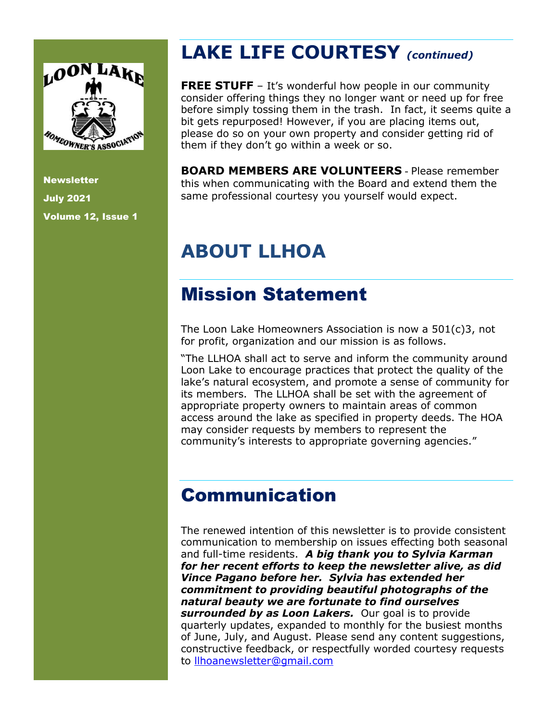

**Newsletter** July 2021 Volume 12, Issue 1

## **LAKE LIFE COURTESY** *(continued)*

**FREE STUFF** - It's wonderful how people in our community consider offering things they no longer want or need up for free before simply tossing them in the trash. In fact, it seems quite a bit gets repurposed! However, if you are placing items out, please do so on your own property and consider getting rid of them if they don't go within a week or so.

**BOARD MEMBERS ARE VOLUNTEERS** - Please remember this when communicating with the Board and extend them the same professional courtesy you yourself would expect.

# **ABOUT LLHOA**

## Mission Statement

The Loon Lake Homeowners Association is now a 501(c)3, not for profit, organization and our mission is as follows.

"The LLHOA shall act to serve and inform the community around Loon Lake to encourage practices that protect the quality of the lake's natural ecosystem, and promote a sense of community for its members. The LLHOA shall be set with the agreement of appropriate property owners to maintain areas of common access around the lake as specified in property deeds. The HOA may consider requests by members to represent the community's interests to appropriate governing agencies."

## Communication

The renewed intention of this newsletter is to provide consistent communication to membership on issues effecting both seasonal and full-time residents. *A big thank you to Sylvia Karman for her recent efforts to keep the newsletter alive, as did Vince Pagano before her. Sylvia has extended her commitment to providing beautiful photographs of the natural beauty we are fortunate to find ourselves surrounded by as Loon Lakers.* Our goal is to provide quarterly updates, expanded to monthly for the busiest months of June, July, and August. Please send any content suggestions, constructive feedback, or respectfully worded courtesy requests to [llhoanewsletter@gmail.com](mailto:llhoanewsletter@gmail.com)